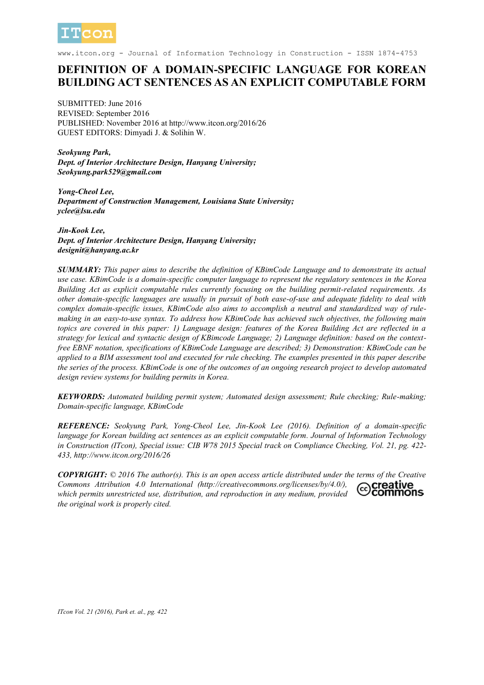

www.itcon.org - Journal of Information Technology in Construction - ISSN 1874-4753

# **DEFINITION OF A DOMAIN-SPECIFIC LANGUAGE FOR KOREAN BUILDING ACT SENTENCES AS AN EXPLICIT COMPUTABLE FORM**

SUBMITTED: June 2016 REVISED: September 2016 PUBLISHED: November 2016 at http://www.itcon.org/2016/26 GUEST EDITORS: Dimyadi J. & Solihin W.

*Seokyung Park, Dept. of Interior Architecture Design, Hanyang University; Seokyung.park529@gmail.com*

*Yong-Cheol Lee, Department of Construction Management, Louisiana State University; yclee@lsu.edu*

*Jin-Kook Lee, Dept. of Interior Architecture Design, Hanyang University; designit@hanyang.ac.kr*

*SUMMARY: This paper aims to describe the definition of KBimCode Language and to demonstrate its actual use case. KBimCode is a domain-specific computer language to represent the regulatory sentences in the Korea Building Act as explicit computable rules currently focusing on the building permit-related requirements. As other domain-specific languages are usually in pursuit of both ease-of-use and adequate fidelity to deal with complex domain-specific issues, KBimCode also aims to accomplish a neutral and standardized way of rulemaking in an easy-to-use syntax. To address how KBimCode has achieved such objectives, the following main topics are covered in this paper: 1) Language design: features of the Korea Building Act are reflected in a strategy for lexical and syntactic design of KBimcode Language; 2) Language definition: based on the contextfree EBNF notation, specifications of KBimCode Language are described; 3) Demonstration: KBimCode can be applied to a BIM assessment tool and executed for rule checking. The examples presented in this paper describe the series of the process. KBimCode is one of the outcomes of an ongoing research project to develop automated design review systems for building permits in Korea.*

*KEYWORDS: Automated building permit system; Automated design assessment; Rule checking; Rule-making; Domain-specific language, KBimCode*

*REFERENCE: Seokyung Park, Yong-Cheol Lee, Jin-Kook Lee (2016). Definition of a domain-specific language for Korean building act sentences as an explicit computable form. Journal of Information Technology in Construction (ITcon), Special issue: CIB W78 2015 Special track on Compliance Checking, Vol. 21, pg. 422- 433, http://www.itcon.org/2016/26*

*COPYRIGHT: © 2016 The author(s). This is an open access article distributed under the terms of the Creative Commons Attribution 4.0 International (http://creativecommons.org/licenses/by/4.0/),*  creative commons *which permits unrestricted use, distribution, and reproduction in any medium, provided the original work is properly cited.*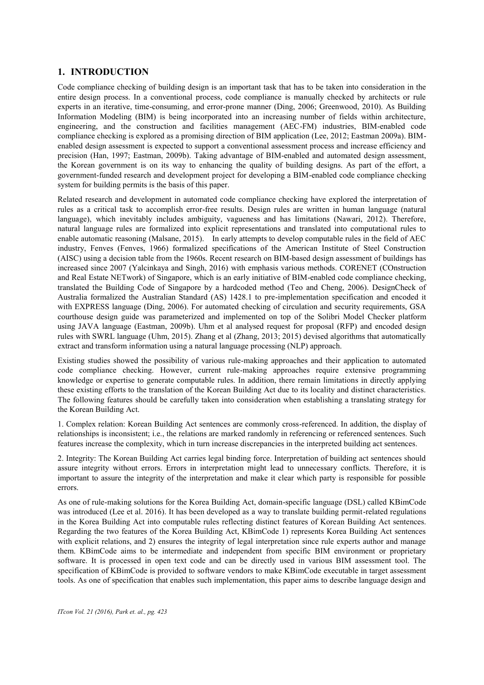# **1. INTRODUCTION**

Code compliance checking of building design is an important task that has to be taken into consideration in the entire design process. In a conventional process, code compliance is manually checked by architects or rule experts in an iterative, time-consuming, and error-prone manner (Ding, 2006; Greenwood, 2010). As Building Information Modeling (BIM) is being incorporated into an increasing number of fields within architecture, engineering, and the construction and facilities management (AEC-FM) industries, BIM-enabled code compliance checking is explored as a promising direction of BIM application (Lee, 2012; Eastman 2009a). BIMenabled design assessment is expected to support a conventional assessment process and increase efficiency and precision (Han, 1997; Eastman, 2009b). Taking advantage of BIM-enabled and automated design assessment, the Korean government is on its way to enhancing the quality of building designs. As part of the effort, a government-funded research and development project for developing a BIM-enabled code compliance checking system for building permits is the basis of this paper.

Related research and development in automated code compliance checking have explored the interpretation of rules as a critical task to accomplish error-free results. Design rules are written in human language (natural language), which inevitably includes ambiguity, vagueness and has limitations (Nawari, 2012). Therefore, natural language rules are formalized into explicit representations and translated into computational rules to enable automatic reasoning (Malsane, 2015). In early attempts to develop computable rules in the field of AEC industry, Fenves (Fenves, 1966) formalized specifications of the American Institute of Steel Construction (AISC) using a decision table from the 1960s. Recent research on BIM-based design assessment of buildings has increased since 2007 (Yalcinkaya and Singh, 2016) with emphasis various methods. CORENET (COnstruction and Real Estate NETwork) of Singapore, which is an early initiative of BIM-enabled code compliance checking, translated the Building Code of Singapore by a hardcoded method (Teo and Cheng, 2006). DesignCheck of Australia formalized the Australian Standard (AS) 1428.1 to pre-implementation specification and encoded it with EXPRESS language (Ding, 2006). For automated checking of circulation and security requirements, GSA courthouse design guide was parameterized and implemented on top of the Solibri Model Checker platform using JAVA language (Eastman, 2009b). Uhm et al analysed request for proposal (RFP) and encoded design rules with SWRL language (Uhm, 2015). Zhang et al (Zhang, 2013; 2015) devised algorithms that automatically extract and transform information using a natural language processing (NLP) approach.

Existing studies showed the possibility of various rule-making approaches and their application to automated code compliance checking. However, current rule-making approaches require extensive programming knowledge or expertise to generate computable rules. In addition, there remain limitations in directly applying these existing efforts to the translation of the Korean Building Act due to its locality and distinct characteristics. The following features should be carefully taken into consideration when establishing a translating strategy for the Korean Building Act.

1. Complex relation: Korean Building Act sentences are commonly cross-referenced. In addition, the display of relationships is inconsistent; i.e., the relations are marked randomly in referencing or referenced sentences. Such features increase the complexity, which in turn increase discrepancies in the interpreted building act sentences.

2. Integrity: The Korean Building Act carries legal binding force. Interpretation of building act sentences should assure integrity without errors. Errors in interpretation might lead to unnecessary conflicts. Therefore, it is important to assure the integrity of the interpretation and make it clear which party is responsible for possible errors.

As one of rule-making solutions for the Korea Building Act, domain-specific language (DSL) called KBimCode was introduced (Lee et al. 2016). It has been developed as a way to translate building permit-related regulations in the Korea Building Act into computable rules reflecting distinct features of Korean Building Act sentences. Regarding the two features of the Korea Building Act, KBimCode 1) represents Korea Building Act sentences with explicit relations, and 2) ensures the integrity of legal interpretation since rule experts author and manage them. KBimCode aims to be intermediate and independent from specific BIM environment or proprietary software. It is processed in open text code and can be directly used in various BIM assessment tool. The specification of KBimCode is provided to software vendors to make KBimCode executable in target assessment tools. As one of specification that enables such implementation, this paper aims to describe language design and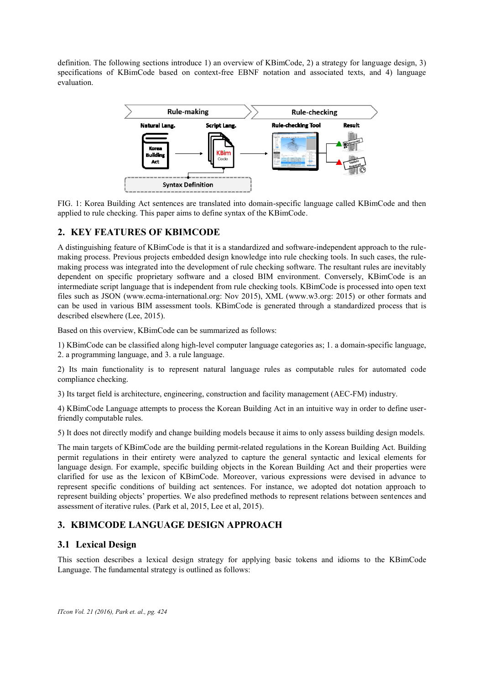definition. The following sections introduce 1) an overview of KBimCode, 2) a strategy for language design, 3) specifications of KBimCode based on context-free EBNF notation and associated texts, and 4) language evaluation.



FIG. 1: Korea Building Act sentences are translated into domain-specific language called KBimCode and then applied to rule checking. This paper aims to define syntax of the KBimCode.

# **2. KEY FEATURES OF KBIMCODE**

A distinguishing feature of KBimCode is that it is a standardized and software-independent approach to the rulemaking process. Previous projects embedded design knowledge into rule checking tools. In such cases, the rulemaking process was integrated into the development of rule checking software. The resultant rules are inevitably dependent on specific proprietary software and a closed BIM environment. Conversely, KBimCode is an intermediate script language that is independent from rule checking tools. KBimCode is processed into open text files such as JSON (www.ecma-international.org: Nov 2015), XML (www.w3.org: 2015) or other formats and can be used in various BIM assessment tools. KBimCode is generated through a standardized process that is described elsewhere (Lee, 2015).

Based on this overview, KBimCode can be summarized as follows:

1) KBimCode can be classified along high-level computer language categories as; 1. a domain-specific language, 2. a programming language, and 3. a rule language.

2) Its main functionality is to represent natural language rules as computable rules for automated code compliance checking.

3) Its target field is architecture, engineering, construction and facility management (AEC-FM) industry.

4) KBimCode Language attempts to process the Korean Building Act in an intuitive way in order to define userfriendly computable rules.

5) It does not directly modify and change building models because it aims to only assess building design models.

The main targets of KBimCode are the building permit-related regulations in the Korean Building Act. Building permit regulations in their entirety were analyzed to capture the general syntactic and lexical elements for language design. For example, specific building objects in the Korean Building Act and their properties were clarified for use as the lexicon of KBimCode. Moreover, various expressions were devised in advance to represent specific conditions of building act sentences. For instance, we adopted dot notation approach to represent building objects' properties. We also predefined methods to represent relations between sentences and assessment of iterative rules. (Park et al, 2015, Lee et al, 2015).

# **3. KBIMCODE LANGUAGE DESIGN APPROACH**

### **3.1 Lexical Design**

This section describes a lexical design strategy for applying basic tokens and idioms to the KBimCode Language. The fundamental strategy is outlined as follows: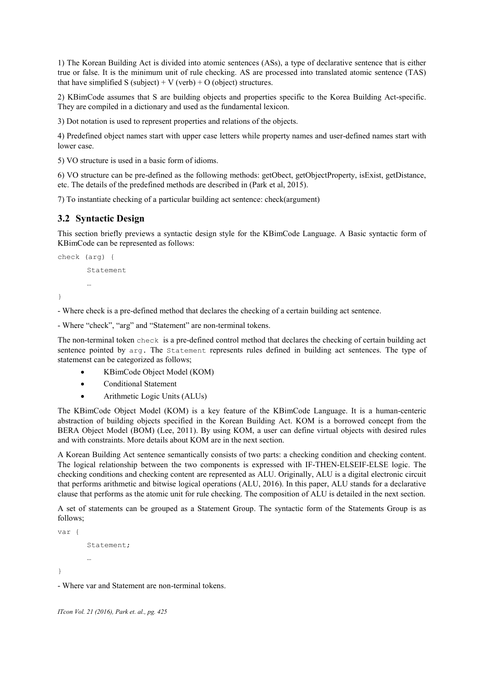1) The Korean Building Act is divided into atomic sentences (ASs), a type of declarative sentence that is either true or false. It is the minimum unit of rule checking. AS are processed into translated atomic sentence (TAS) that have simplified S (subject) + V (verb) + O (object) structures.

2) KBimCode assumes that S are building objects and properties specific to the Korea Building Act-specific. They are compiled in a dictionary and used as the fundamental lexicon.

3) Dot notation is used to represent properties and relations of the objects.

4) Predefined object names start with upper case letters while property names and user-defined names start with lower case.

5) VO structure is used in a basic form of idioms.

6) VO structure can be pre-defined as the following methods: getObect, getObjectProperty, isExist, getDistance, etc. The details of the predefined methods are described in (Park et al, 2015).

7) To instantiate checking of a particular building act sentence: check(argument)

### **3.2 Syntactic Design**

This section briefly previews a syntactic design style for the KBimCode Language. A Basic syntactic form of KBimCode can be represented as follows:

```
check (arg) {
       Statement
       …
}
```
- Where check is a pre-defined method that declares the checking of a certain building act sentence.

- Where "check", "arg" and "Statement" are non-terminal tokens.

The non-terminal token check is a pre-defined control method that declares the checking of certain building act sentence pointed by arg. The Statement represents rules defined in building act sentences. The type of statemenst can be categorized as follows;

- KBimCode Object Model (KOM)
- Conditional Statement
- Arithmetic Logic Units (ALUs)

The KBimCode Object Model (KOM) is a key feature of the KBimCode Language. It is a human-centeric abstraction of building objects specified in the Korean Building Act. KOM is a borrowed concept from the BERA Object Model (BOM) (Lee, 2011). By using KOM, a user can define virtual objects with desired rules and with constraints. More details about KOM are in the next section.

A Korean Building Act sentence semantically consists of two parts: a checking condition and checking content. The logical relationship between the two components is expressed with IF-THEN-ELSEIF-ELSE logic. The checking conditions and checking content are represented as ALU. Originally, ALU is a digital electronic circuit that performs arithmetic and bitwise logical operations (ALU, 2016). In this paper, ALU stands for a declarative clause that performs as the atomic unit for rule checking. The composition of ALU is detailed in the next section.

A set of statements can be grouped as a Statement Group. The syntactic form of the Statements Group is as follows;

```
var {
       Statement;
        …
}
```
- Where var and Statement are non-terminal tokens.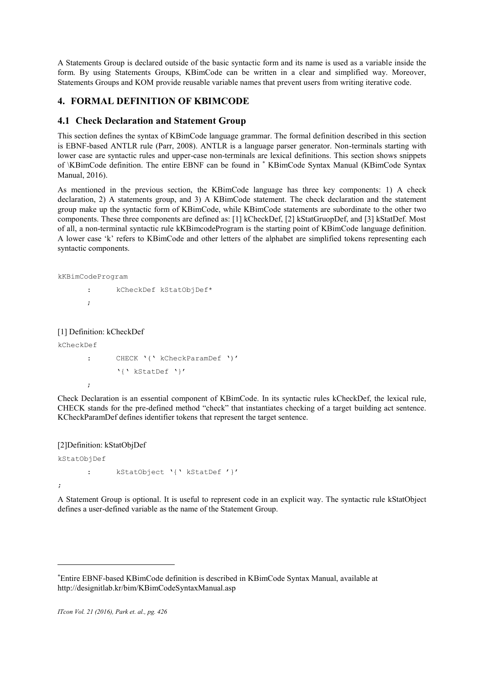A Statements Group is declared outside of the basic syntactic form and its name is used as a variable inside the form. By using Statements Groups, KBimCode can be written in a clear and simplified way. Moreover, Statements Groups and KOM provide reusable variable names that prevent users from writing iterative code.

# **4. FORMAL DEFINITION OF KBIMCODE**

### **4.1 Check Declaration and Statement Group**

This section defines the syntax of KBimCode language grammar. The formal definition described in this section is EBNF-based ANTLR rule (Parr, 2008). ANTLR is a language parser generator. Non-terminals starting with lower case are syntactic rules and upper-case non-terminals are lexical definitions. This section shows snippets of \KBimCode definition. The entire EBNF can be found in \* KBimCode Syntax Manual (KBimCode Syntax Manual, 2016).

As mentioned in the previous section, the KBimCode language has three key components: 1) A check declaration, 2) A statements group, and 3) A KBimCode statement. The check declaration and the statement group make up the syntactic form of KBimCode, while KBimCode statements are subordinate to the other two components. These three components are defined as: [1] kCheckDef, [2] kStatGruopDef, and [3] kStatDef. Most of all, a non-terminal syntactic rule kKBimcodeProgram is the starting point of KBimCode language definition. A lower case 'k' refers to KBimCode and other letters of the alphabet are simplified tokens representing each syntactic components.

kKBimCodeProgram

: kCheckDef kStatObjDef\* ;

[1] Definition: kCheckDef

kCheckDef

 $\overline{a}$ 

;

```
: CHECK '(' kCheckParamDef ')'
      '{' kStatDef '}'
```
Check Declaration is an essential component of KBimCode. In its syntactic rules kCheckDef, the lexical rule, CHECK stands for the pre-defined method "check" that instantiates checking of a target building act sentence. KCheckParamDef defines identifier tokens that represent the target sentence.

[2]Definition: kStatObjDef

```
kStatObjDef
      : kStatObject '{' kStatDef '}'
;
```
A Statement Group is optional. It is useful to represent code in an explicit way. The syntactic rule kStatObject defines a user-defined variable as the name of the Statement Group.

Entire EBNF-based KBimCode definition is described in KBimCode Syntax Manual, available at http://designitlab.kr/bim/KBimCodeSyntaxManual.asp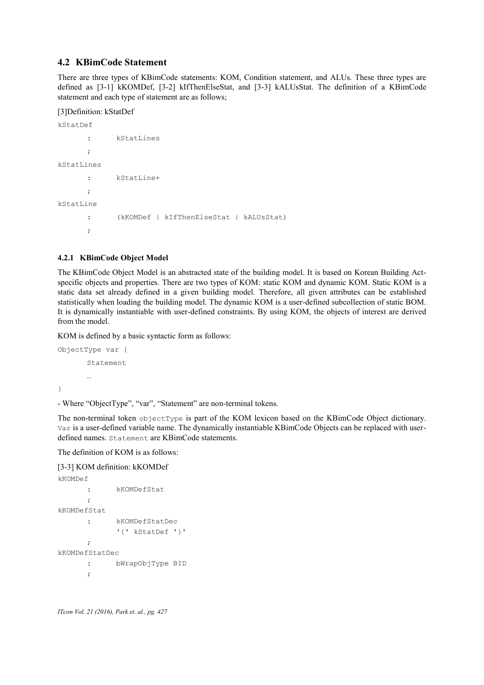### **4.2 KBimCode Statement**

There are three types of KBimCode statements: KOM, Condition statement, and ALUs. These three types are defined as [3-1] kKOMDef, [3-2] kIfThenElseStat, and [3-3] kALUsStat. The definition of a KBimCode statement and each type of statement are as follows;

#### [3]Definition: kStatDef

```
kStatDef
      : kStatLines
      ;
kStatLines
      : kStatLine+
      ;
kStatLine
      : (kKOMDef | kIfThenElseStat | kALUsStat)
      ;
```
#### **4.2.1 KBimCode Object Model**

The KBimCode Object Model is an abstracted state of the building model. It is based on Korean Building Actspecific objects and properties. There are two types of KOM: static KOM and dynamic KOM. Static KOM is a static data set already defined in a given building model. Therefore, all given attributes can be established statistically when loading the building model. The dynamic KOM is a user-defined subcollection of static BOM. It is dynamically instantiable with user-defined constraints. By using KOM, the objects of interest are derived from the model.

KOM is defined by a basic syntactic form as follows:

```
ObjectType var {
       Statement
       …
}
```
- Where "ObjectType", "var", "Statement" are non-terminal tokens.

The non-terminal token objectType is part of the KOM lexicon based on the KBimCode Object dictionary. Var is a user-defined variable name. The dynamically instantiable KBimCode Objects can be replaced with userdefined names. Statement are KBimCode statements.

The definition of KOM is as follows:

#### [3-3] KOM definition: kKOMDef

```
kKOMDef 
      : kKOMDefStat
      ;
kKOMDefStat
      : kKOMDefStatDec 
            '{' kStatDef '}'
      ;
kKOMDefStatDec
      : bWrapObjType BID
      ;
```

```
ITcon Vol. 21 (2016), Park et. al., pg. 427
```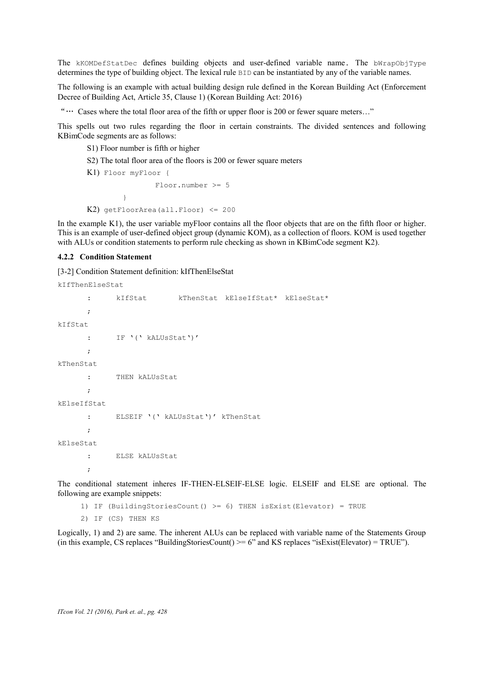The kKOMDefStatDec defines building objects and user-defined variable name. The bWrapObjType determines the type of building object. The lexical rule BID can be instantiated by any of the variable names.

The following is an example with actual building design rule defined in the Korean Building Act (Enforcement Decree of Building Act, Article 35, Clause 1) (Korean Building Act: 2016)

"… Cases where the total floor area of the fifth or upper floor is 200 or fewer square meters…"

This spells out two rules regarding the floor in certain constraints. The divided sentences and following KBimCode segments are as follows:

S1) Floor number is fifth or higher

S2) The total floor area of the floors is 200 or fewer square meters

```
K1) Floor myFloor {
                Floor.number >= 5
        }
K2) getFloorArea(all.Floor) <= 200
```
In the example K1), the user variable myFloor contains all the floor objects that are on the fifth floor or higher. This is an example of user-defined object group (dynamic KOM), as a collection of floors. KOM is used together with ALUs or condition statements to perform rule checking as shown in KBimCode segment K2).

#### **4.2.2 Condition Statement**

[3-2] Condition Statement definition: kIfThenElseStat

```
kIfThenElseStat 
      : kIfStat kThenStat kElseIfStat* kElseStat*
      ;
kIfStat
      : IF '(' kALUsStat')' 
      ;
kThenStat
      : THEN kALUsStat
      ; 
kElseIfStat 
      : ELSEIF '(' kALUsStat')' kThenStat
      ;
kElseStat
      : ELSE kALUsStat
      ;
```
The conditional statement inheres IF-THEN-ELSEIF-ELSE logic. ELSEIF and ELSE are optional. The following are example snippets:

1) IF (BuildingStoriesCount() >= 6) THEN isExist(Elevator) = TRUE

2) IF (CS) THEN KS

Logically, 1) and 2) are same. The inherent ALUs can be replaced with variable name of the Statements Group (in this example, CS replaces "BuildingStoriesCount()  $>= 6$ " and KS replaces "isExist(Elevator) = TRUE").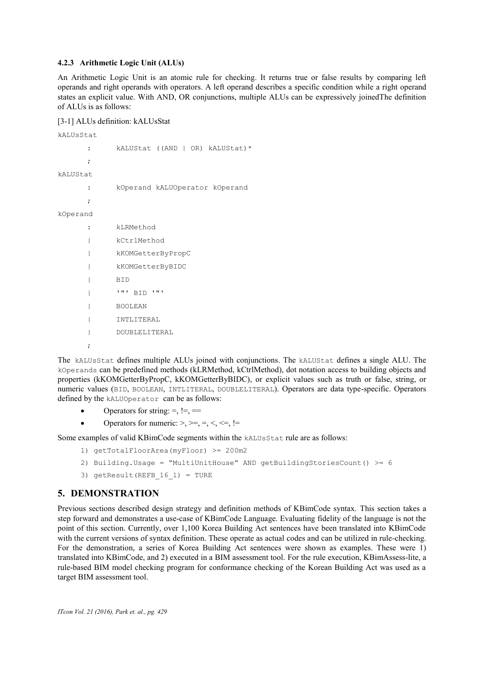#### **4.2.3 Arithmetic Logic Unit (ALUs)**

An Arithmetic Logic Unit is an atomic rule for checking. It returns true or false results by comparing left operands and right operands with operators. A left operand describes a specific condition while a right operand states an explicit value. With AND, OR conjunctions, multiple ALUs can be expressively joinedThe definition of ALUs is as follows:

#### [3-1] ALUs definition: kALUsStat

kALUsStat : kALUStat ((AND | OR) kALUStat)\* ; kALUStat : kOperand kALUOperator kOperand ; kOperand : kLRMethod | kCtrlMethod | kKOMGetterByPropC | kKOMGetterByBIDC | BID | '"' BID '"' | BOOLEAN | INTLITERAL | DOUBLELITERAL

The kALUsStat defines multiple ALUs joined with conjunctions. The kALUStat defines a single ALU. The kOperands can be predefined methods (kLRMethod, kCtrlMethod), dot notation access to building objects and properties (kKOMGetterByPropC, kKOMGetterByBIDC), or explicit values such as truth or false, string, or numeric values (BID, BOOLEAN, INTLITERAL, DOUBLELITERAL). Operators are data type-specific. Operators defined by the kALUOperator can be as follows:

- Operators for string:  $=$ ,  $!=$
- Operators for numeric: >, >=, =, <, <=, !=

Some examples of valid KBimCode segments within the kALUsStat rule are as follows:

- 1) getTotalFloorArea(myFloor) >= 200m2
- 2) Building.Usage = "MultiUnitHouse" AND getBuildingStoriesCount() >= 6
- 3) getResult(REFB\_16\_1) = TURE

# **5. DEMONSTRATION**

;

Previous sections described design strategy and definition methods of KBimCode syntax. This section takes a step forward and demonstrates a use-case of KBimCode Language. Evaluating fidelity of the language is not the point of this section. Currently, over 1,100 Korea Building Act sentences have been translated into KBimCode with the current versions of syntax definition. These operate as actual codes and can be utilized in rule-checking. For the demonstration, a series of Korea Building Act sentences were shown as examples. These were 1) translated into KBimCode, and 2) executed in a BIM assessment tool. For the rule execution, KBimAssess-lite, a rule-based BIM model checking program for conformance checking of the Korean Building Act was used as a target BIM assessment tool.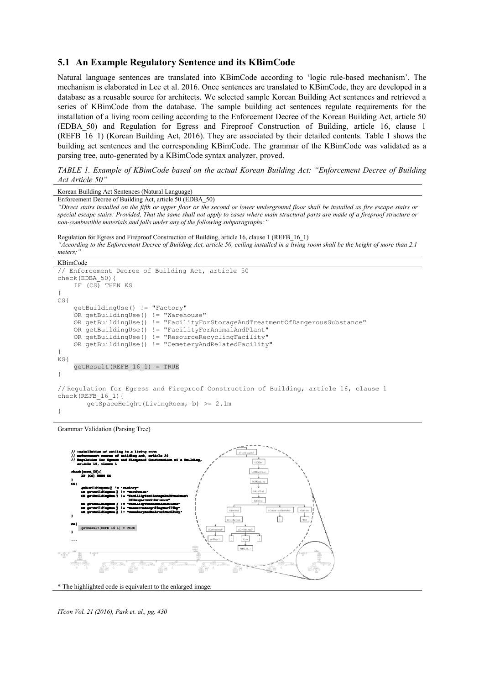#### **5.1 An Example Regulatory Sentence and its KBimCode**

Natural language sentences are translated into KBimCode according to 'logic rule-based mechanism'. The mechanism is elaborated in Lee et al. 2016. Once sentences are translated to KBimCode, they are developed in a database as a reusable source for architects. We selected sample Korean Building Act sentences and retrieved a series of KBimCode from the database. The sample building act sentences regulate requirements for the installation of a living room ceiling according to the Enforcement Decree of the Korean Building Act, article 50 (EDBA\_50) and Regulation for Egress and Fireproof Construction of Building, article 16, clause 1 (REFB 16-1) (Korean Building Act, 2016). They are associated by their detailed contents. Table 1 shows the building act sentences and the corresponding KBimCode. The grammar of the KBimCode was validated as a parsing tree, auto-generated by a KBimCode syntax analyzer, proved.

*TABLE 1. Example of KBimCode based on the actual Korean Building Act: "Enforcement Decree of Building Act Article 50"*

| Korean Building Act Sentences (Natural Language)                                                                                          |
|-------------------------------------------------------------------------------------------------------------------------------------------|
| Enforcement Decree of Building Act, article 50 (EDBA 50)                                                                                  |
| "Direct stairs installed on the fifth or upper floor or the second or lower underground floor shall be installed as fire escape stairs or |
| special escape stairs: Provided, That the same shall not apply to cases where main structural parts are made of a fireproof structure or  |
| non-combustible materials and falls under any of the following subparagraphs:"                                                            |
|                                                                                                                                           |
| Regulation for Egress and Fireproof Construction of Building, article 16, clause 1 (REFB 16 1)                                            |
|                                                                                                                                           |
| "According to the Enforcement Decree of Building Act, article 50, ceiling installed in a living room shall be the height of more than 2.1 |
| meters;"                                                                                                                                  |
| KBimCode                                                                                                                                  |
| // Enforcement Decree of Building Act, article 50                                                                                         |
| $check(EDBA 50)$ {                                                                                                                        |
| IF (CS) THEN KS                                                                                                                           |
| $\cdot$                                                                                                                                   |
| CS <sub>1</sub>                                                                                                                           |
| qetBuildingUse() != "Factory"                                                                                                             |
| OR getBuildingUse() != "Warehouse"                                                                                                        |
| OR getBuildingUse() != "FacilityForStorageAndTreatmentOfDangerousSubstance"                                                               |
| OR getBuildingUse() != "FacilityForAnimalAndPlant"                                                                                        |
| OR getBuildingUse() != "ResourceRecyclingFacility"                                                                                        |
| OR getBuildingUse() != "CemeteryAndRelatedFacility"                                                                                       |
|                                                                                                                                           |
| $\}$                                                                                                                                      |
| KS                                                                                                                                        |
| $qetResult(REFB 16 1) = TRUE$                                                                                                             |
| }                                                                                                                                         |
|                                                                                                                                           |
| // Regulation for Egress and Fireproof Construction of Building, article 16, clause 1                                                     |
| check (REFB 16 1) {                                                                                                                       |
| qetSpaceHeight(LivingRoom, b) >= 2.1m                                                                                                     |
|                                                                                                                                           |

Grammar Validation (Parsing Tree)



\* The highlighted code is equivalent to the enlarged image.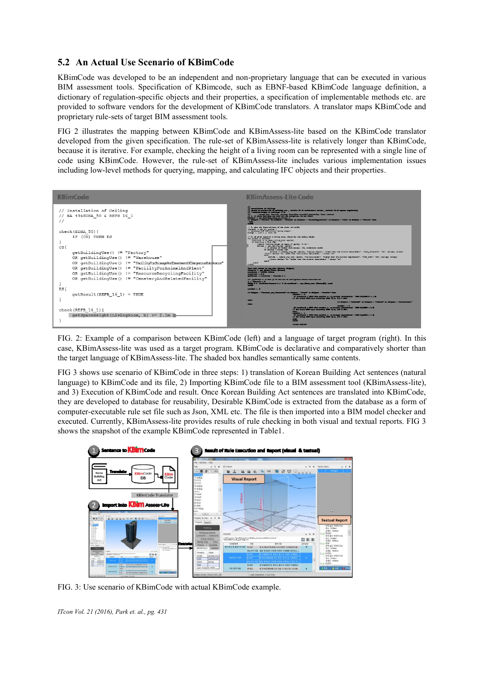# **5.2 An Actual Use Scenario of KBimCode**

KBimCode was developed to be an independent and non-proprietary language that can be executed in various BIM assessment tools. Specification of KBimcode, such as EBNF-based KBimCode language definition, a dictionary of regulation-specific objects and their properties, a specification of implementable methods etc. are provided to software vendors for the development of KBimCode translators. A translator maps KBimCode and proprietary rule-sets of target BIM assessment tools.

FIG 2 illustrates the mapping between KBimCode and KBimAssess-lite based on the KBimCode translator developed from the given specification. The rule-set of KBimAssess-lite is relatively longer than KBimCode, because it is iterative. For example, checking the height of a living room can be represented with a single line of code using KBimCode. However, the rule-set of KBimAssess-lite includes various implementation issues including low-level methods for querying, mapping, and calculating IFC objects and their properties.



FIG. 2: Example of a comparison between KBimCode (left) and a language of target program (right). In this case, KBimAssess-lite was used as a target program. KBimCode is declarative and comparatively shorter than the target language of KBimAssess-lite. The shaded box handles semantically same contents.

FIG 3 shows use scenario of KBimCode in three steps: 1) translation of Korean Building Act sentences (natural language) to KBimCode and its file, 2) Importing KBimCode file to a BIM assessment tool (KBimAssess-lite), and 3) Execution of KBimCode and result. Once Korean Building Act sentences are translated into KBimCode, they are developed to database for reusability, Desirable KBimCode is extracted from the database as a form of computer-executable rule set file such as Json, XML etc. The file is then imported into a BIM model checker and executed. Currently, KBimAssess-lite provides results of rule checking in both visual and textual reports. FIG 3 shows the snapshot of the example KBimCode represented in Table1.



FIG. 3: Use scenario of KBimCode with actual KBimCode example.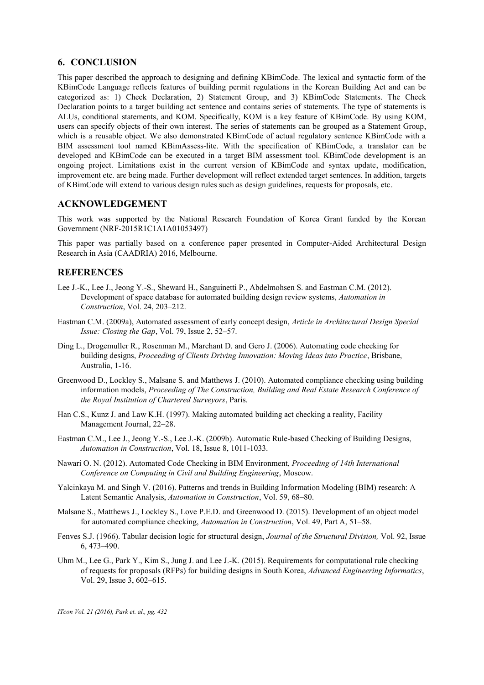### **6. CONCLUSION**

This paper described the approach to designing and defining KBimCode. The lexical and syntactic form of the KBimCode Language reflects features of building permit regulations in the Korean Building Act and can be categorized as: 1) Check Declaration, 2) Statement Group, and 3) KBimCode Statements. The Check Declaration points to a target building act sentence and contains series of statements. The type of statements is ALUs, conditional statements, and KOM. Specifically, KOM is a key feature of KBimCode. By using KOM, users can specify objects of their own interest. The series of statements can be grouped as a Statement Group, which is a reusable object. We also demonstrated KBimCode of actual regulatory sentence KBimCode with a BIM assessment tool named KBimAssess-lite. With the specification of KBimCode, a translator can be developed and KBimCode can be executed in a target BIM assessment tool. KBimCode development is an ongoing project. Limitations exist in the current version of KBimCode and syntax update, modification, improvement etc. are being made. Further development will reflect extended target sentences. In addition, targets of KBimCode will extend to various design rules such as design guidelines, requests for proposals, etc.

### **ACKNOWLEDGEMENT**

This work was supported by the National Research Foundation of Korea Grant funded by the Korean Government (NRF-2015R1C1A1A01053497)

This paper was partially based on a conference paper presented in Computer-Aided Architectural Design Research in Asia (CAADRIA) 2016, Melbourne.

### **REFERENCES**

- Lee J.-K., Lee J., Jeong Y.-S., Sheward H., Sanguinetti P., Abdelmohsen S. and Eastman C.M. (2012). Development of space database for automated building design review systems, *Automation in Construction*, Vol. 24, 203–212.
- Eastman C.M. (2009a), Automated assessment of early concept design, *Article in Architectural Design Special Issue: Closing the Gap*, Vol. 79, Issue 2, 52–57.
- Ding L., Drogemuller R., Rosenman M., Marchant D. and Gero J. (2006). Automating code checking for building designs, *Proceeding of Clients Driving Innovation: Moving Ideas into Practice*, Brisbane, Australia, 1-16.
- Greenwood D., Lockley S., Malsane S. and Matthews J. (2010). Automated compliance checking using building information models, *Proceeding of The Construction, Building and Real Estate Research Conference of the Royal Institution of Chartered Surveyors*, Paris.
- Han C.S., Kunz J. and Law K.H. (1997). Making automated building act checking a reality, Facility Management Journal, 22–28.
- Eastman C.M., Lee J., Jeong Y.-S., Lee J.-K. (2009b). Automatic Rule-based Checking of Building Designs, *Automation in Construction*, Vol. 18, Issue 8, 1011-1033.
- Nawari O. N. (2012). Automated Code Checking in BIM Environment, *Proceeding of 14th International Conference on Computing in Civil and Building Engineering*, Moscow.
- Yalcinkaya M. and Singh V. (2016). Patterns and trends in Building Information Modeling (BIM) research: A Latent Semantic Analysis, *Automation in Construction*, Vol. 59, 68–80.
- Malsane S., Matthews J., Lockley S., Love P.E.D. and Greenwood D. (2015). Development of an object model for automated compliance checking, *Automation in Construction*, Vol. 49, Part A, 51–58.
- Fenves S.J. (1966). Tabular decision logic for structural design, *Journal of the Structural Division,* Vol. 92, Issue 6, 473–490.
- Uhm M., Lee G., Park Y., Kim S., Jung J. and Lee J.-K. (2015). Requirements for computational rule checking of requests for proposals (RFPs) for building designs in South Korea, *Advanced Engineering Informatics*, Vol. 29, Issue 3, 602–615.